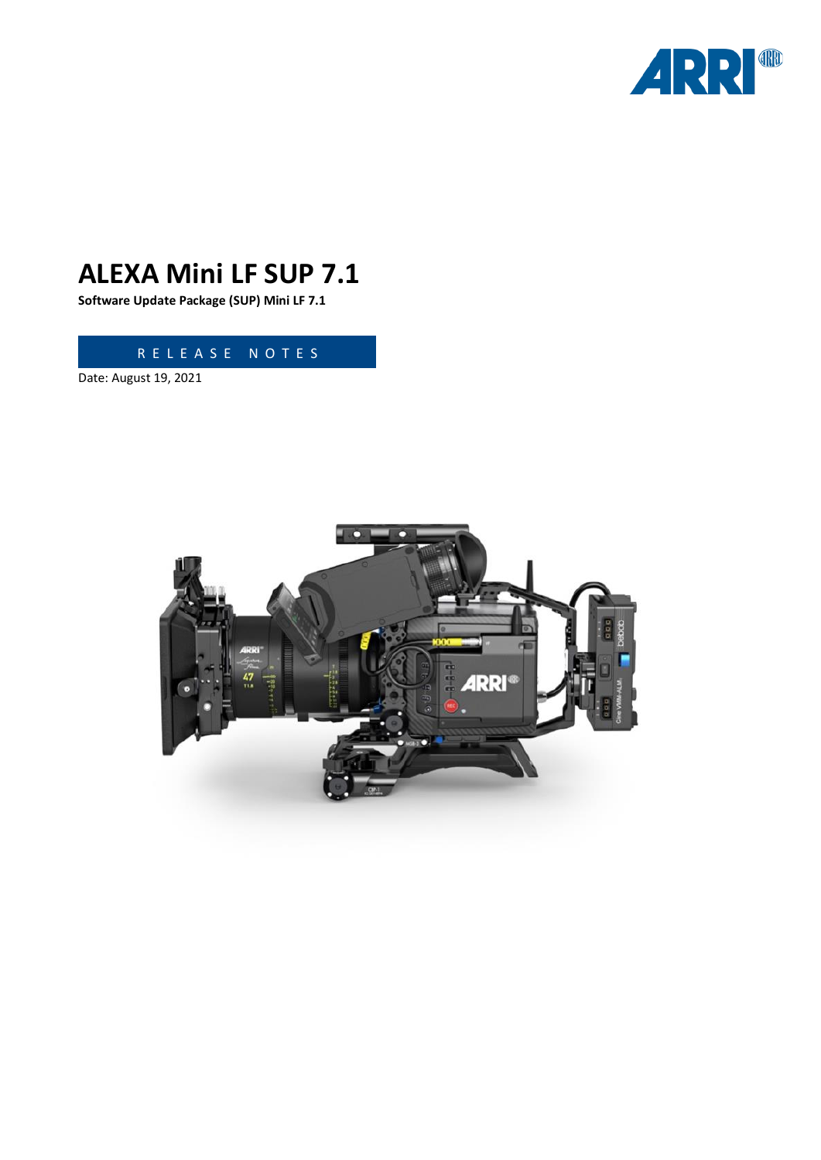

# **ALEXA Mini LF SUP 7.1**

**Software Update Package (SUP) Mini LF 7.1**

R E L E A S E N O T E S

Date: August 19, 2021

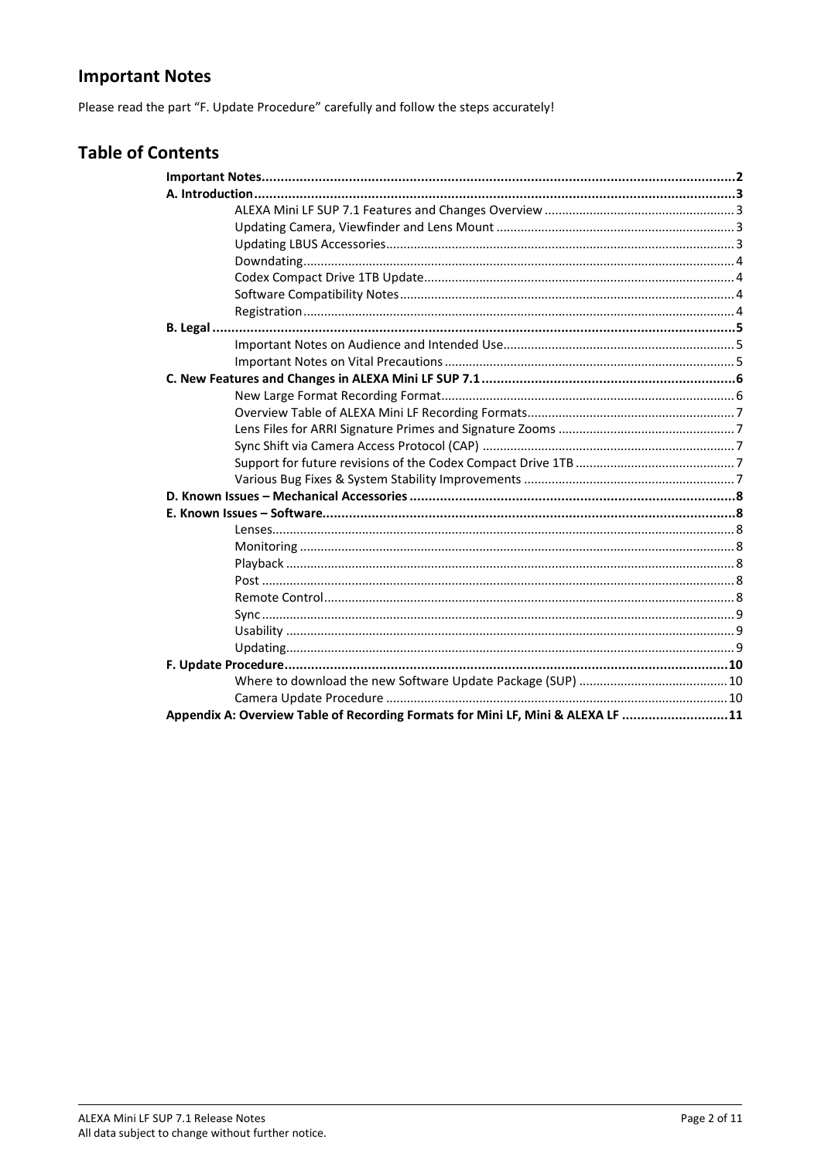### <span id="page-1-0"></span>**Important Notes**

Please read the part "F. Update Procedure" carefully and follow the steps accurately!

| <b>Table of Contents</b>                                                        |  |
|---------------------------------------------------------------------------------|--|
|                                                                                 |  |
|                                                                                 |  |
|                                                                                 |  |
|                                                                                 |  |
|                                                                                 |  |
|                                                                                 |  |
|                                                                                 |  |
|                                                                                 |  |
|                                                                                 |  |
|                                                                                 |  |
|                                                                                 |  |
|                                                                                 |  |
|                                                                                 |  |
|                                                                                 |  |
|                                                                                 |  |
|                                                                                 |  |
|                                                                                 |  |
|                                                                                 |  |
|                                                                                 |  |
|                                                                                 |  |
|                                                                                 |  |
|                                                                                 |  |
|                                                                                 |  |
|                                                                                 |  |
|                                                                                 |  |
|                                                                                 |  |
|                                                                                 |  |
|                                                                                 |  |
|                                                                                 |  |
|                                                                                 |  |
|                                                                                 |  |
|                                                                                 |  |
| Appendix A: Overview Table of Recording Formats for Mini LF, Mini & ALEXA LF 11 |  |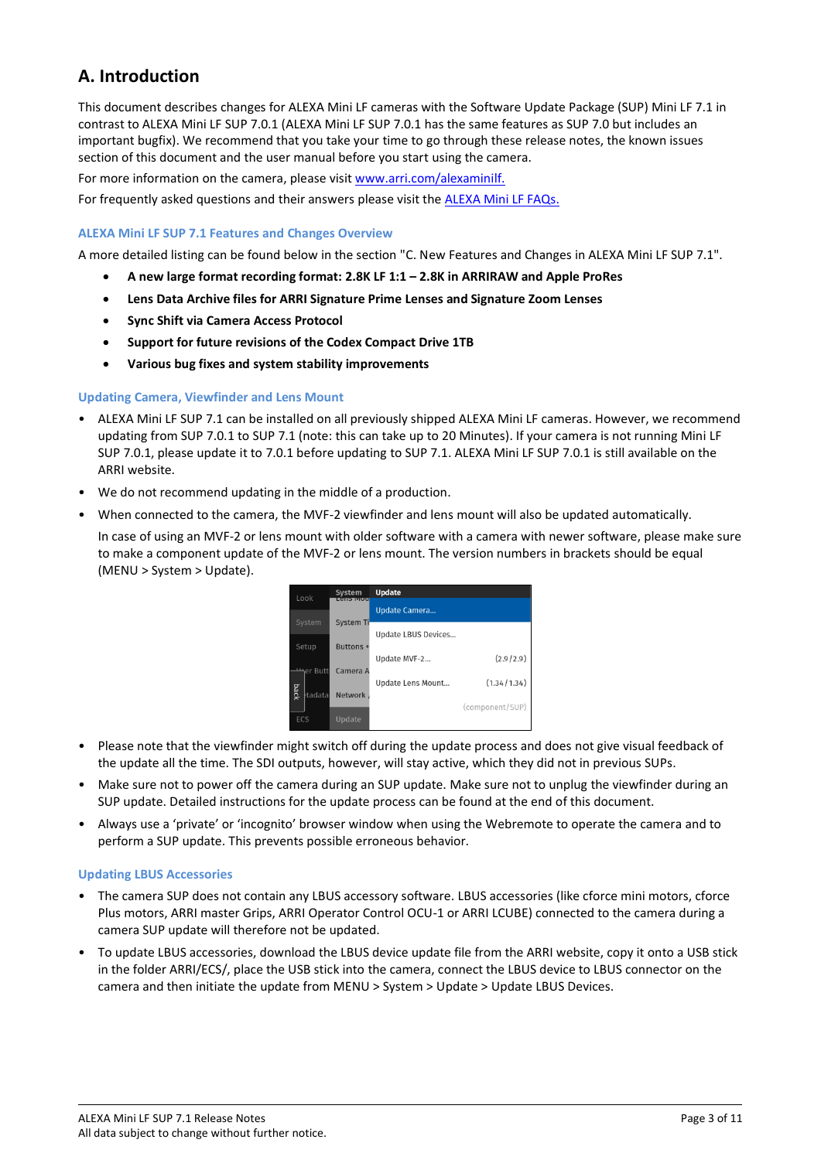### <span id="page-2-0"></span>**A. Introduction**

This document describes changes for ALEXA Mini LF cameras with the Software Update Package (SUP) Mini LF 7.1 in contrast to ALEXA Mini LF SUP 7.0.1 (ALEXA Mini LF SUP 7.0.1 has the same features as SUP 7.0 but includes an important bugfix). We recommend that you take your time to go through these release notes, the known issues section of this document and the user manual before you start using the camera.

For more information on the camera, please visit [www.arri.com/alexaminilf.](https://www.arri.com/en/camera-systems/cameras/alexa-mini-lf)

<span id="page-2-1"></span>For frequently asked questions and their answers please visit the [ALEXA Mini LF FAQs.](https://www.arri.com/en/learn-help/learn-help-camera-system/frequently-asked-questions/alexa-mini-lf-faq)

#### **ALEXA Mini LF SUP 7.1 Features and Changes Overview**

A more detailed listing can be found below in the section "C. New Features and Changes in ALEXA Mini LF SUP 7.1".

- **A new large format recording format: 2.8K LF 1:1 – 2.8K in ARRIRAW and Apple ProRes**
- **Lens Data Archive files for ARRI Signature Prime Lenses and Signature Zoom Lenses**
- **Sync Shift via Camera Access Protocol**
- **Support for future revisions of the Codex Compact Drive 1TB**
- **Various bug fixes and system stability improvements**

#### <span id="page-2-2"></span>**Updating Camera, Viewfinder and Lens Mount**

- ALEXA Mini LF SUP 7.1 can be installed on all previously shipped ALEXA Mini LF cameras. However, we recommend updating from SUP 7.0.1 to SUP 7.1 (note: this can take up to 20 Minutes). If your camera is not running Mini LF SUP 7.0.1, please update it to 7.0.1 before updating to SUP 7.1. ALEXA Mini LF SUP 7.0.1 is still available on the ARRI website.
- We do not recommend updating in the middle of a production.
- When connected to the camera, the MVF-2 viewfinder and lens mount will also be updated automatically.
- In case of using an MVF-2 or lens mount with older software with a camera with newer software, please make sure to make a component update of the MVF-2 or lens mount. The version numbers in brackets should be equal (MENU > System > Update).



- Please note that the viewfinder might switch off during the update process and does not give visual feedback of the update all the time. The SDI outputs, however, will stay active, which they did not in previous SUPs.
- Make sure not to power off the camera during an SUP update. Make sure not to unplug the viewfinder during an SUP update. Detailed instructions for the update process can be found at the end of this document.
- Always use a 'private' or 'incognito' browser window when using the Webremote to operate the camera and to perform a SUP update. This prevents possible erroneous behavior.

#### <span id="page-2-3"></span>**Updating LBUS Accessories**

- The camera SUP does not contain any LBUS accessory software. LBUS accessories (like cforce mini motors, cforce Plus motors, ARRI master Grips, ARRI Operator Control OCU-1 or ARRI LCUBE) connected to the camera during a camera SUP update will therefore not be updated.
- To update LBUS accessories, download the LBUS device update file from the ARRI website, copy it onto a USB stick in the folder ARRI/ECS/, place the USB stick into the camera, connect the LBUS device to LBUS connector on the camera and then initiate the update from MENU > System > Update > Update LBUS Devices.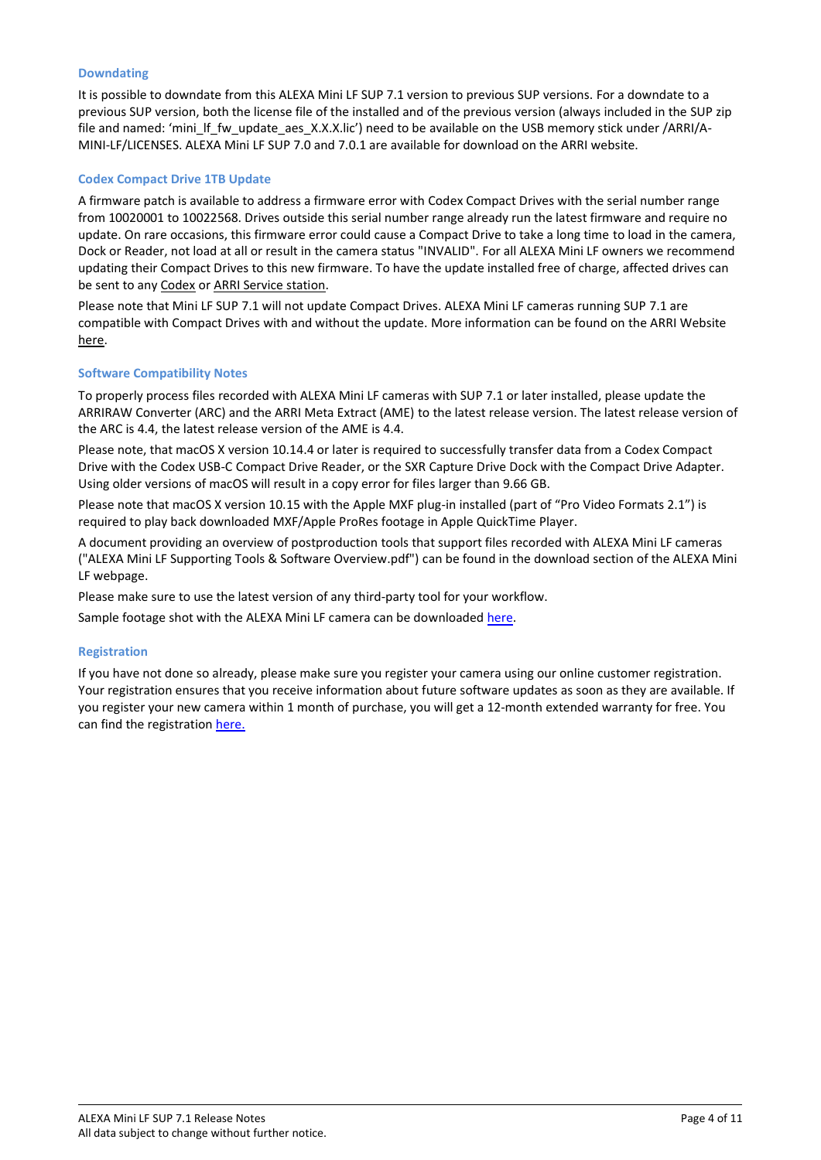#### <span id="page-3-0"></span>**Downdating**

It is possible to downdate from this ALEXA Mini LF SUP 7.1 version to previous SUP versions. For a downdate to a previous SUP version, both the license file of the installed and of the previous version (always included in the SUP zip file and named: 'mini\_lf\_fw\_update\_aes\_X.X.X.lic') need to be available on the USB memory stick under /ARRI/A-MINI-LF/LICENSES. ALEXA Mini LF SUP 7.0 and 7.0.1 are available for download on the ARRI website.

#### <span id="page-3-1"></span>**Codex Compact Drive 1TB Update**

A firmware patch is available to address a firmware error with Codex Compact Drives with the serial number range from 10020001 to 10022568. Drives outside this serial number range already run the latest firmware and require no update. On rare occasions, this firmware error could cause a Compact Drive to take a long time to load in the camera, Dock or Reader, not load at all or result in the camera status "INVALID". For all ALEXA Mini LF owners we recommend updating their Compact Drives to this new firmware. To have the update installed free of charge, affected drives can be sent to any [Codex](mailto:support@codex.online) or [ARRI Service station.](https://www.arri.com/en/technical-service/technical-support/service-locations)

Please note that Mini LF SUP 7.1 will not update Compact Drives. ALEXA Mini LF cameras running SUP 7.1 are compatible with Compact Drives with and without the update. More information can be found on the ARRI Website [here.](https://www.arri.com/resource/blob/209998/eb48d56f7d4b1c49a3ae569b8134f024/nl-codex-compact-drive-data.pdf)

#### <span id="page-3-2"></span>**Software Compatibility Notes**

To properly process files recorded with ALEXA Mini LF cameras with SUP 7.1 or later installed, please update the ARRIRAW Converter (ARC) and the ARRI Meta Extract (AME) to the latest release version. The latest release version of the ARC is 4.4, the latest release version of the AME is 4.4.

Please note, that macOS X version 10.14.4 or later is required to successfully transfer data from a Codex Compact Drive with the Codex USB-C Compact Drive Reader, or the SXR Capture Drive Dock with the Compact Drive Adapter. Using older versions of macOS will result in a copy error for files larger than 9.66 GB.

Please note that macOS X version 10.15 with the Apple MXF plug-in installed (part of "Pro Video Formats 2.1") is required to play back downloaded MXF/Apple ProRes footage in Apple QuickTime Player.

A document providing an overview of postproduction tools that support files recorded with ALEXA Mini LF cameras ("ALEXA Mini LF Supporting Tools & Software Overview.pdf") can be found in the download section of the ALEXA Mini LF webpage.

Please make sure to use the latest version of any third-party tool for your workflow.

Sample footage shot with the ALEXA Mini LF camera can be downloaded [here.](https://www.arri.com/en/learn-help/learn-help-camera-system/camera-sample-footage)

#### <span id="page-3-3"></span>**Registration**

If you have not done so already, please make sure you register your camera using our online customer registration. Your registration ensures that you receive information about future software updates as soon as they are available. If you register your new camera within 1 month of purchase, you will get a 12-month extended warranty for free. You can find the registratio[n here.](https://alshop.arri.de/register)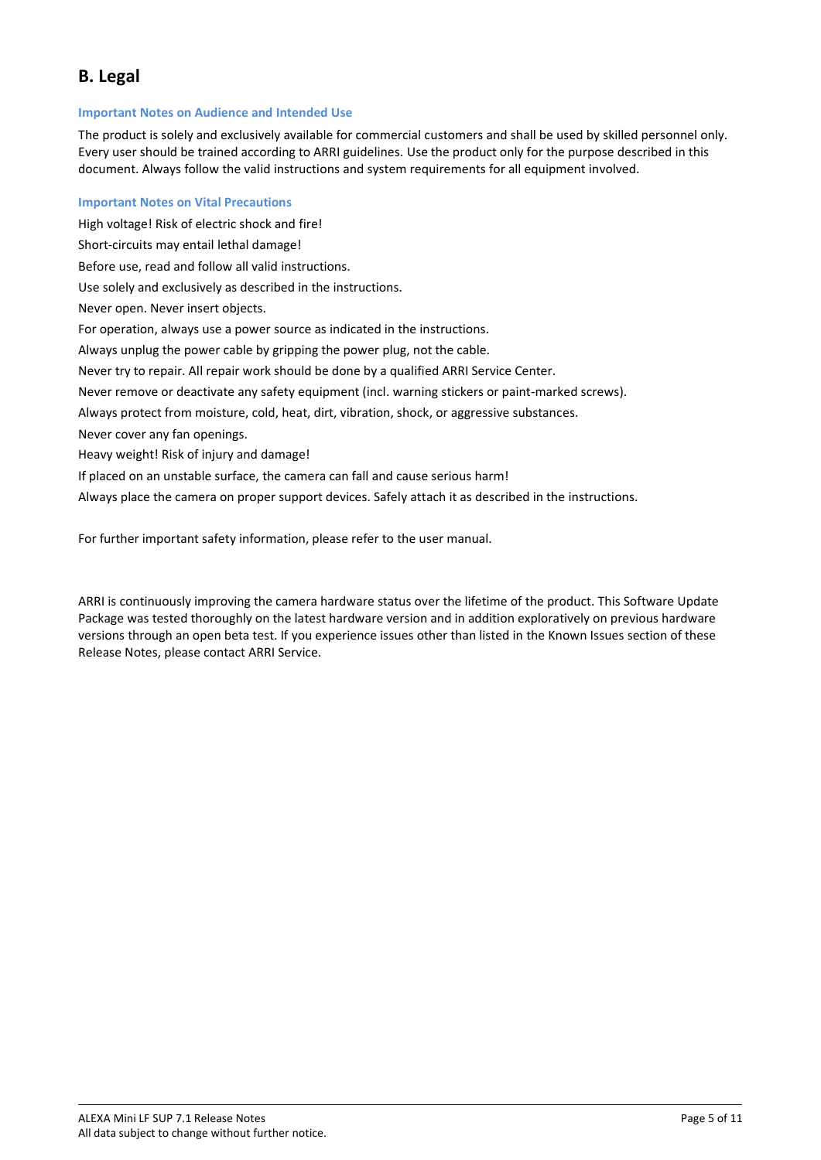### <span id="page-4-0"></span>**B. Legal**

#### <span id="page-4-1"></span>**Important Notes on Audience and Intended Use**

The product is solely and exclusively available for commercial customers and shall be used by skilled personnel only. Every user should be trained according to ARRI guidelines. Use the product only for the purpose described in this document. Always follow the valid instructions and system requirements for all equipment involved.

#### <span id="page-4-2"></span>**Important Notes on Vital Precautions**

High voltage! Risk of electric shock and fire! Short-circuits may entail lethal damage! Before use, read and follow all valid instructions. Use solely and exclusively as described in the instructions. Never open. Never insert objects. For operation, always use a power source as indicated in the instructions. Always unplug the power cable by gripping the power plug, not the cable. Never try to repair. All repair work should be done by a qualified ARRI Service Center. Never remove or deactivate any safety equipment (incl. warning stickers or paint-marked screws). Always protect from moisture, cold, heat, dirt, vibration, shock, or aggressive substances. Never cover any fan openings. Heavy weight! Risk of injury and damage! If placed on an unstable surface, the camera can fall and cause serious harm! Always place the camera on proper support devices. Safely attach it as described in the instructions.

For further important safety information, please refer to the user manual.

ARRI is continuously improving the camera hardware status over the lifetime of the product. This Software Update Package was tested thoroughly on the latest hardware version and in addition exploratively on previous hardware versions through an open beta test. If you experience issues other than listed in the Known Issues section of these Release Notes, please contact ARRI Service.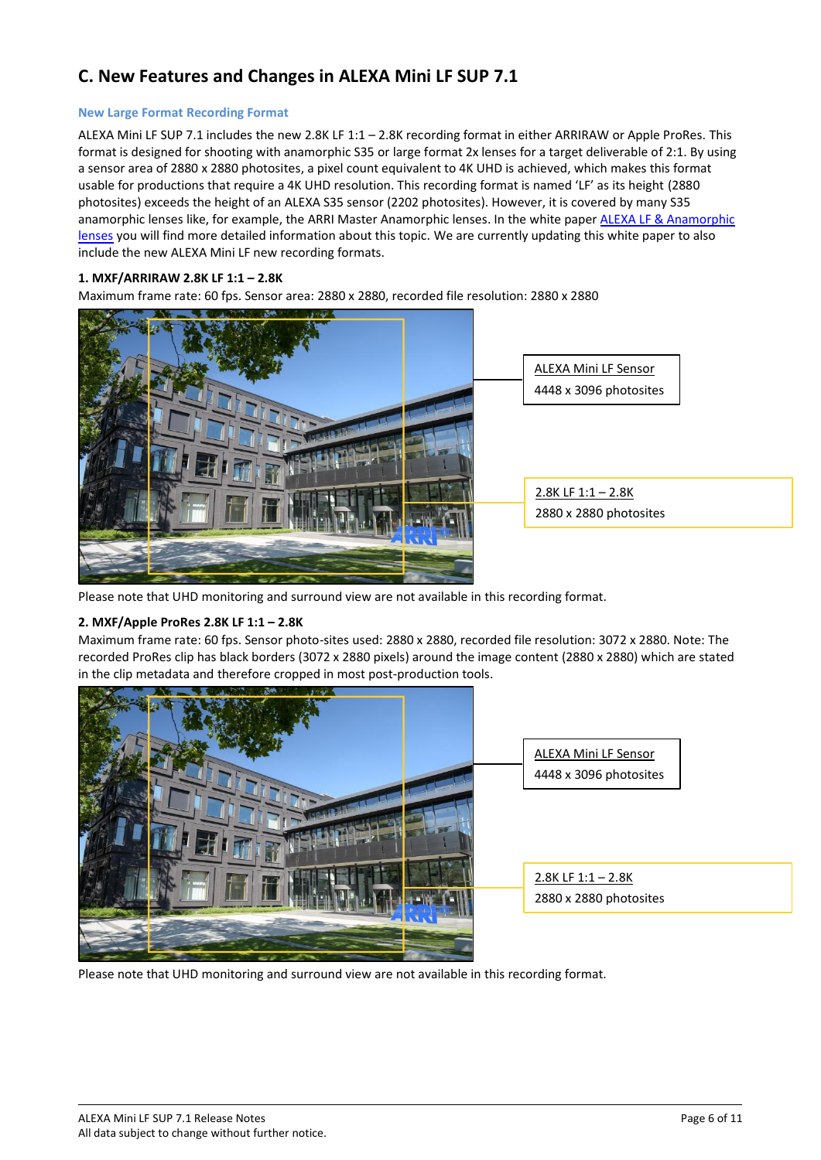### <span id="page-5-0"></span>**C. New Features and Changes in ALEXA Mini LF SUP 7.1**

#### <span id="page-5-1"></span>**New Large Format Recording Format**

ALEXA Mini LF SUP 7.1 includes the new 2.8K LF 1:1 – 2.8K recording format in either ARRIRAW or Apple ProRes. This format is designed for shooting with anamorphic S35 or large format 2x lenses for a target deliverable of 2:1. By using a sensor area of 2880 x 2880 photosites, a pixel count equivalent to 4K UHD is achieved, which makes this format usable for productions that require a 4K UHD resolution. This recording format is named 'LF' as its height (2880 photosites) exceeds the height of an ALEXA S35 sensor (2202 photosites). However, it is covered by many S35 anamorphic lenses like, for example, the ARRI Master Anamorphic lenses. In the white pape[r ALEXA LF & Anamorphic](https://www.arri.com/resource/blob/41434/9093dd51fa56328b70f56a718bac0e22/2018-10-26-alexa-lf-and-anamorphic-lenses-pdf-data.pdf)  [lenses](https://www.arri.com/resource/blob/41434/9093dd51fa56328b70f56a718bac0e22/2018-10-26-alexa-lf-and-anamorphic-lenses-pdf-data.pdf) you will find more detailed information about this topic. We are currently updating this white paper to also include the new ALEXA Mini LF new recording formats.

#### **1. MXF/ARRIRAW 2.8K LF 1:1 – 2.8K**

Maximum frame rate: 60 fps. Sensor area: 2880 x 2880, recorded file resolution: 2880 x 2880



Please note that UHD monitoring and surround view are not available in this recording format.

#### **2. MXF/Apple ProRes 2.8K LF 1:1 – 2.8K**

Maximum frame rate: 60 fps. Sensor photo-sites used: 2880 x 2880, recorded file resolution: 3072 x 2880. Note: The recorded ProRes clip has black borders (3072 x 2880 pixels) around the image content (2880 x 2880) which are stated in the clip metadata and therefore cropped in most post-production tools.



Please note that UHD monitoring and surround view are not available in this recording format.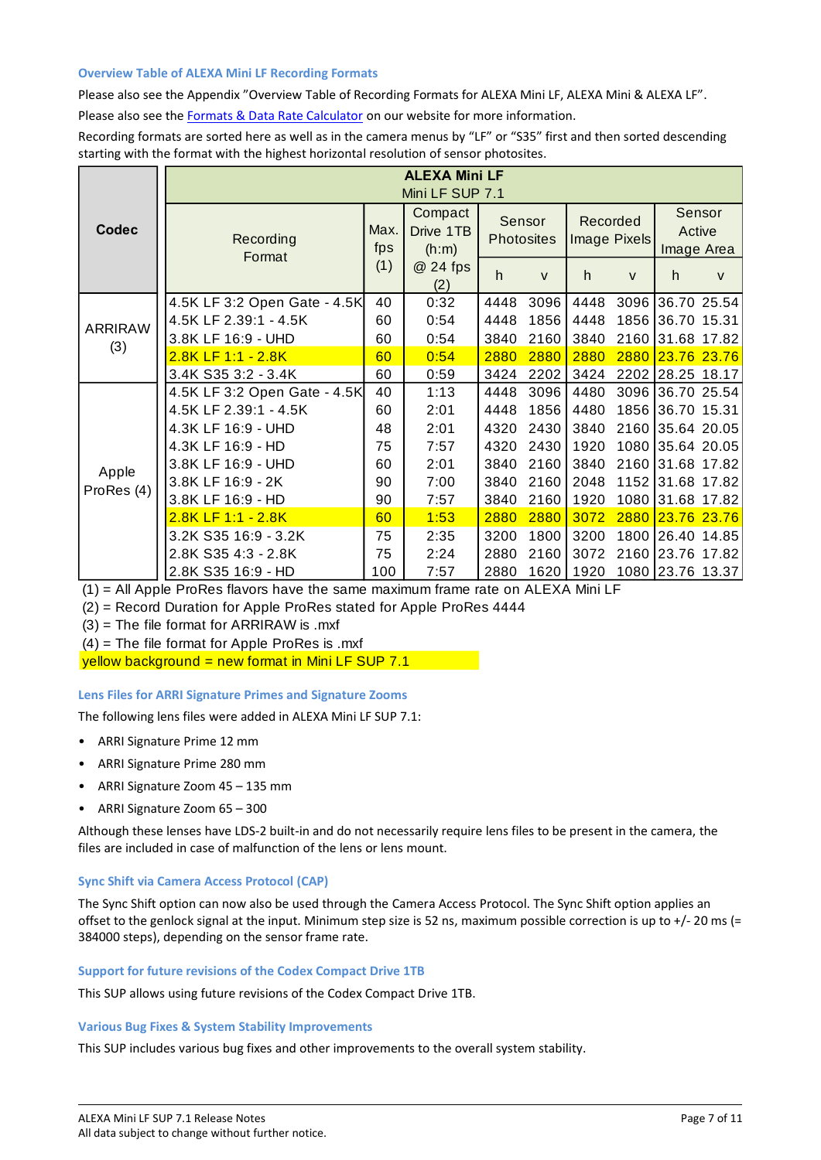#### <span id="page-6-0"></span>**Overview Table of ALEXA Mini LF Recording Formats**

Please also see the Appendix "Overview Table of Recording Formats for ALEXA Mini LF, ALEXA Mini & ALEXA LF". Please also see th[e Formats & Data Rate Calculator](https://www.arri.com/en/learn-help/learn-help-camera-system/tools/formats-and-data-rate-calculator) on our website for more information.

Recording formats are sorted here as well as in the camera menus by "LF" or "S35" first and then sorted descending starting with the format with the highest horizontal resolution of sensor photosites.

|                |                              |             | <b>ALEXA Mini LF</b><br>Mini LF SUP 7.1 |      |                             |      |                          |                      |              |
|----------------|------------------------------|-------------|-----------------------------------------|------|-----------------------------|------|--------------------------|----------------------|--------------|
| Codec          | Recording<br>Format          | Max.<br>fps | Compact<br>Drive 1TB<br>(h:m)           |      | Sensor<br><b>Photosites</b> |      | Recorded<br>Image Pixels | Active<br>Image Area | Sensor       |
|                |                              | (1)         | @ 24 fps<br>(2)                         | h    | $\mathsf{V}$                | h.   | $\mathsf{V}$             | h.                   | $\mathsf{V}$ |
|                | 4.5K LF 3:2 Open Gate - 4.5K | 40          | 0:32                                    | 4448 | 3096                        | 4448 |                          | 3096 36.70 25.54     |              |
| <b>ARRIRAW</b> | 4.5K LF 2.39:1 - 4.5K        | 60          | 0:54                                    | 4448 | 1856                        | 4448 |                          | 1856 36.70 15.31     |              |
| (3)            | 3.8K LF 16:9 - UHD           | 60          | 0:54                                    | 3840 | 2160                        | 3840 | 2160                     | 31.68 17.82          |              |
|                | 2.8K LF 1:1 - 2.8K           | 60          | 0:54                                    | 2880 | 2880                        | 2880 | 2880                     | 23.76 23.76          |              |
|                | 3.4K S35 3:2 - 3.4K          | 60          | 0:59                                    | 3424 | 2202                        | 3424 |                          | 2202 28.25           | 18.17        |
|                | 4.5K LF 3:2 Open Gate - 4.5K | 40          | 1:13                                    | 4448 | 3096                        | 4480 | 3096                     | 36.70 25.54          |              |
|                | 4.5K LF 2.39:1 - 4.5K        | 60          | 2:01                                    | 4448 | 1856                        | 4480 | 1856                     | 36.70 15.31          |              |
|                | 4.3K LF 16:9 - UHD           | 48          | 2:01                                    | 4320 | 2430                        | 3840 | 2160                     | 35.64 20.05          |              |
|                | 4.3K LF 16:9 - HD            | 75          | 7:57                                    | 4320 | 2430                        | 1920 | 1080                     |                      | 35.64 20.05  |
| Apple          | 3.8K LF 16:9 - UHD           | 60          | 2:01                                    | 3840 | 2160                        | 3840 | 2160                     | 31.68 17.82          |              |
| ProRes (4)     | 3.8K LF 16:9 - 2K            | 90          | 7:00                                    | 3840 | 2160                        | 2048 |                          | 1152 31.68 17.82     |              |
|                | 3.8K LF 16:9 - HD            | 90          | 7:57                                    | 3840 | 2160                        | 1920 | 1080                     |                      | 31.68 17.82  |
|                | 2.8K LF 1:1 - 2.8K           | 60          | 1:53                                    | 2880 | 2880                        | 3072 | 2880                     | 23.76 23.76          |              |
|                | 3.2K S35 16:9 - 3.2K         | 75          | 2:35                                    | 3200 | 1800                        | 3200 | 1800                     | 26.40 14.85          |              |
|                | 2.8K S35 4:3 - 2.8K          | 75          | 2:24                                    | 2880 | 2160                        | 3072 |                          | 2160 23.76           | 17.82        |
|                | 2.8K S35 16:9 - HD           | 100         | 7:57                                    | 2880 | 1620                        | 1920 |                          | 1080 23.76 13.37     |              |

 $(1)$  = All Apple ProRes flavors have the same maximum frame rate on ALEXA Mini LF

(2) = Record Duration for Apple ProRes stated for Apple ProRes 4444

(3) = The file format for ARRIRAW is .mxf

 $(4)$  = The file format for Apple ProRes is .mxf

 $y$ ellow background = new format in Mini LF SUP 7.1

#### <span id="page-6-1"></span>**Lens Files for ARRI Signature Primes and Signature Zooms**

The following lens files were added in ALEXA Mini LF SUP 7.1:

- ARRI Signature Prime 12 mm
- ARRI Signature Prime 280 mm
- ARRI Signature Zoom 45 135 mm
- ARRI Signature Zoom 65 300

Although these lenses have LDS-2 built-in and do not necessarily require lens files to be present in the camera, the files are included in case of malfunction of the lens or lens mount.

### <span id="page-6-2"></span>**Sync Shift via Camera Access Protocol (CAP)**

The Sync Shift option can now also be used through the Camera Access Protocol. The Sync Shift option applies an offset to the genlock signal at the input. Minimum step size is 52 ns, maximum possible correction is up to +/- 20 ms (= 384000 steps), depending on the sensor frame rate.

#### <span id="page-6-3"></span>**Support for future revisions of the Codex Compact Drive 1TB**

This SUP allows using future revisions of the Codex Compact Drive 1TB.

#### <span id="page-6-4"></span>**Various Bug Fixes & System Stability Improvements**

This SUP includes various bug fixes and other improvements to the overall system stability.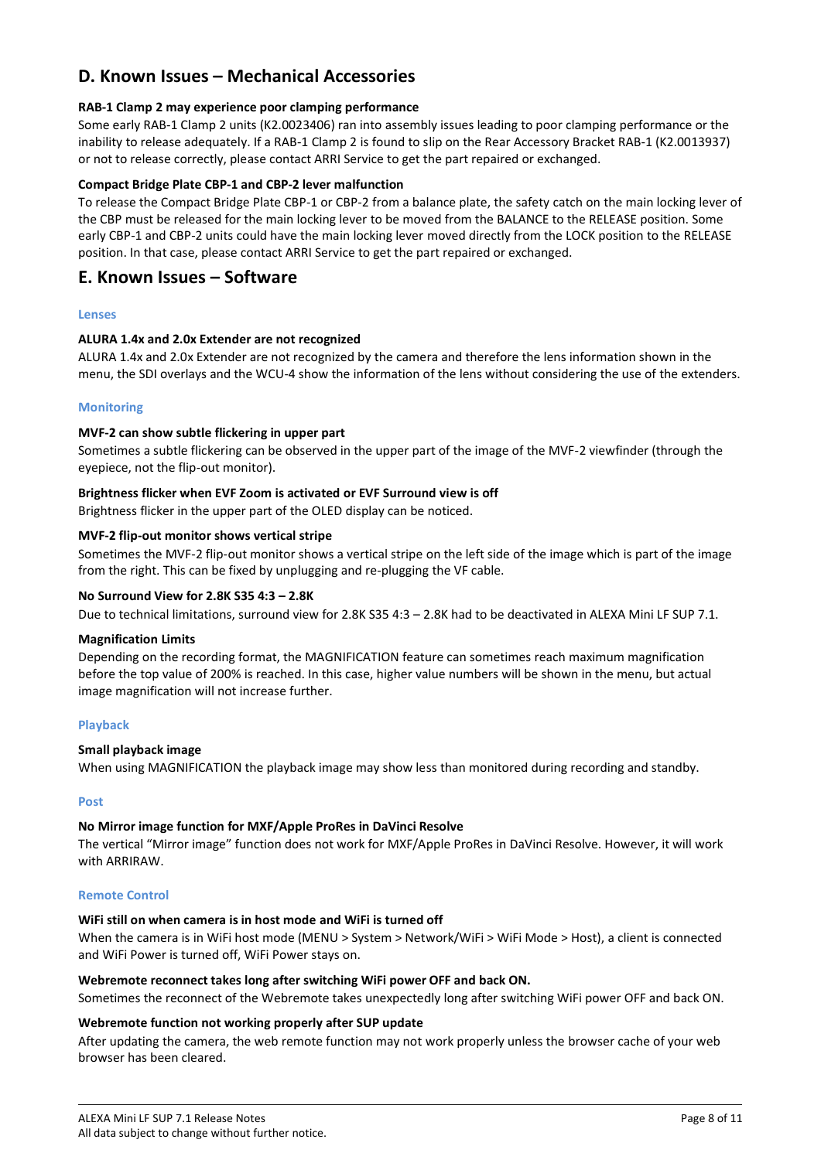### <span id="page-7-0"></span>**D. Known Issues – Mechanical Accessories**

#### **RAB-1 Clamp 2 may experience poor clamping performance**

Some early RAB-1 Clamp 2 units (K2.0023406) ran into assembly issues leading to poor clamping performance or the inability to release adequately. If a RAB-1 Clamp 2 is found to slip on the Rear Accessory Bracket RAB-1 (K2.0013937) or not to release correctly, please contact ARRI Service to get the part repaired or exchanged.

#### **Compact Bridge Plate CBP-1 and CBP-2 lever malfunction**

To release the Compact Bridge Plate CBP-1 or CBP-2 from a balance plate, the safety catch on the main locking lever of the CBP must be released for the main locking lever to be moved from the BALANCE to the RELEASE position. Some early CBP-1 and CBP-2 units could have the main locking lever moved directly from the LOCK position to the RELEASE position. In that case, please contact ARRI Service to get the part repaired or exchanged.

### <span id="page-7-1"></span>**E. Known Issues – Software**

#### <span id="page-7-2"></span>**Lenses**

#### **ALURA 1.4x and 2.0x Extender are not recognized**

ALURA 1.4x and 2.0x Extender are not recognized by the camera and therefore the lens information shown in the menu, the SDI overlays and the WCU-4 show the information of the lens without considering the use of the extenders.

#### <span id="page-7-3"></span>**Monitoring**

#### **MVF-2 can show subtle flickering in upper part**

Sometimes a subtle flickering can be observed in the upper part of the image of the MVF-2 viewfinder (through the eyepiece, not the flip-out monitor).

#### **Brightness flicker when EVF Zoom is activated or EVF Surround view is off**

Brightness flicker in the upper part of the OLED display can be noticed.

#### **MVF-2 flip-out monitor shows vertical stripe**

Sometimes the MVF-2 flip-out monitor shows a vertical stripe on the left side of the image which is part of the image from the right. This can be fixed by unplugging and re-plugging the VF cable.

#### **No Surround View for 2.8K S35 4:3 – 2.8K**

Due to technical limitations, surround view for 2.8K S35 4:3 – 2.8K had to be deactivated in ALEXA Mini LF SUP 7.1.

#### **Magnification Limits**

Depending on the recording format, the MAGNIFICATION feature can sometimes reach maximum magnification before the top value of 200% is reached. In this case, higher value numbers will be shown in the menu, but actual image magnification will not increase further.

#### <span id="page-7-4"></span>**Playback**

#### **Small playback image**

When using MAGNIFICATION the playback image may show less than monitored during recording and standby.

#### <span id="page-7-5"></span>**Post**

### **No Mirror image function for MXF/Apple ProRes in DaVinci Resolve**

The vertical "Mirror image" function does not work for MXF/Apple ProRes in DaVinci Resolve. However, it will work with ARRIRAW.

#### <span id="page-7-6"></span>**Remote Control**

#### **WiFi still on when camera is in host mode and WiFi is turned off**

When the camera is in WiFi host mode (MENU > System > Network/WiFi > WiFi Mode > Host), a client is connected and WiFi Power is turned off, WiFi Power stays on.

#### **Webremote reconnect takes long after switching WiFi power OFF and back ON.**

Sometimes the reconnect of the Webremote takes unexpectedly long after switching WiFi power OFF and back ON.

#### **Webremote function not working properly after SUP update**

After updating the camera, the web remote function may not work properly unless the browser cache of your web browser has been cleared.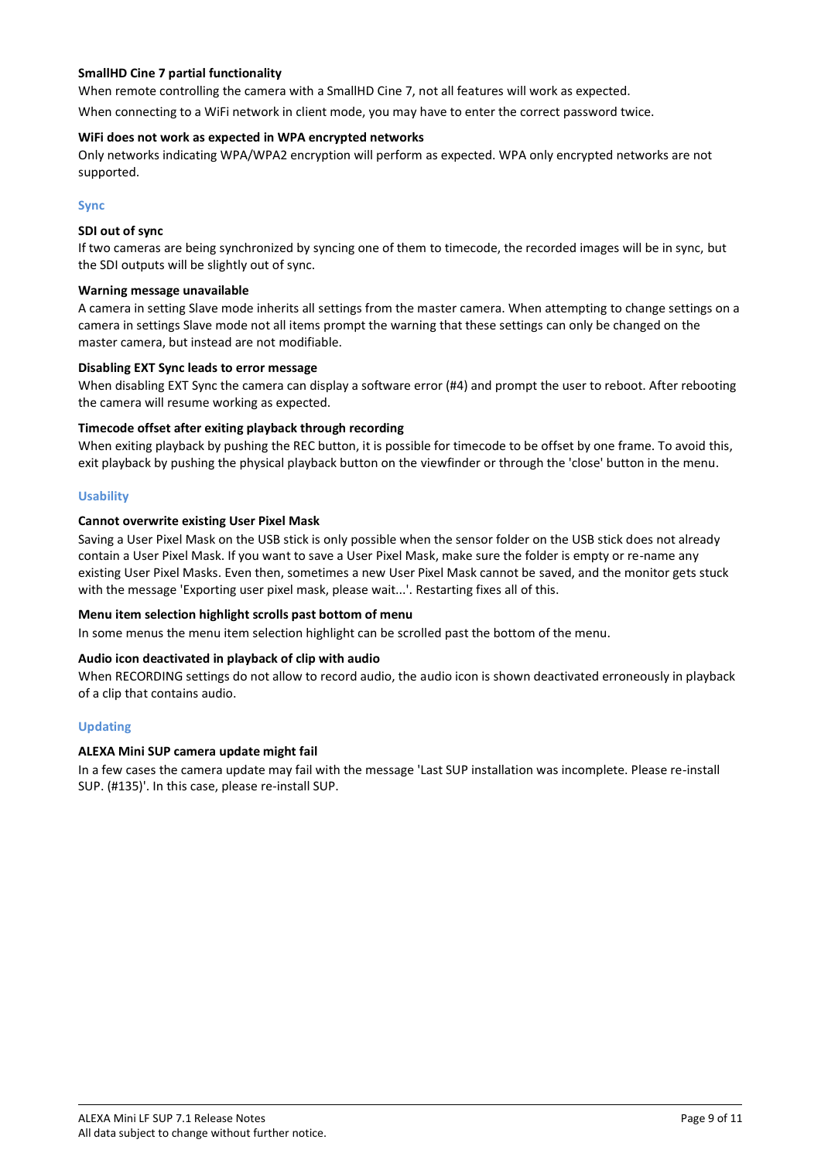#### **SmallHD Cine 7 partial functionality**

When remote controlling the camera with a SmallHD Cine 7, not all features will work as expected.

When connecting to a WiFi network in client mode, you may have to enter the correct password twice.

#### **WiFi does not work as expected in WPA encrypted networks**

Only networks indicating WPA/WPA2 encryption will perform as expected. WPA only encrypted networks are not supported.

#### <span id="page-8-0"></span>**Sync**

#### **SDI out of sync**

If two cameras are being synchronized by syncing one of them to timecode, the recorded images will be in sync, but the SDI outputs will be slightly out of sync.

#### **Warning message unavailable**

A camera in setting Slave mode inherits all settings from the master camera. When attempting to change settings on a camera in settings Slave mode not all items prompt the warning that these settings can only be changed on the master camera, but instead are not modifiable.

#### **Disabling EXT Sync leads to error message**

When disabling EXT Sync the camera can display a software error (#4) and prompt the user to reboot. After rebooting the camera will resume working as expected.

#### **Timecode offset after exiting playback through recording**

When exiting playback by pushing the REC button, it is possible for timecode to be offset by one frame. To avoid this, exit playback by pushing the physical playback button on the viewfinder or through the 'close' button in the menu.

#### <span id="page-8-1"></span>**Usability**

#### **Cannot overwrite existing User Pixel Mask**

Saving a User Pixel Mask on the USB stick is only possible when the sensor folder on the USB stick does not already contain a User Pixel Mask. If you want to save a User Pixel Mask, make sure the folder is empty or re-name any existing User Pixel Masks. Even then, sometimes a new User Pixel Mask cannot be saved, and the monitor gets stuck with the message 'Exporting user pixel mask, please wait...'. Restarting fixes all of this.

#### **Menu item selection highlight scrolls past bottom of menu**

In some menus the menu item selection highlight can be scrolled past the bottom of the menu.

#### **Audio icon deactivated in playback of clip with audio**

When RECORDING settings do not allow to record audio, the audio icon is shown deactivated erroneously in playback of a clip that contains audio.

#### <span id="page-8-2"></span>**Updating**

#### **ALEXA Mini SUP camera update might fail**

In a few cases the camera update may fail with the message 'Last SUP installation was incomplete. Please re-install SUP. (#135)'. In this case, please re-install SUP.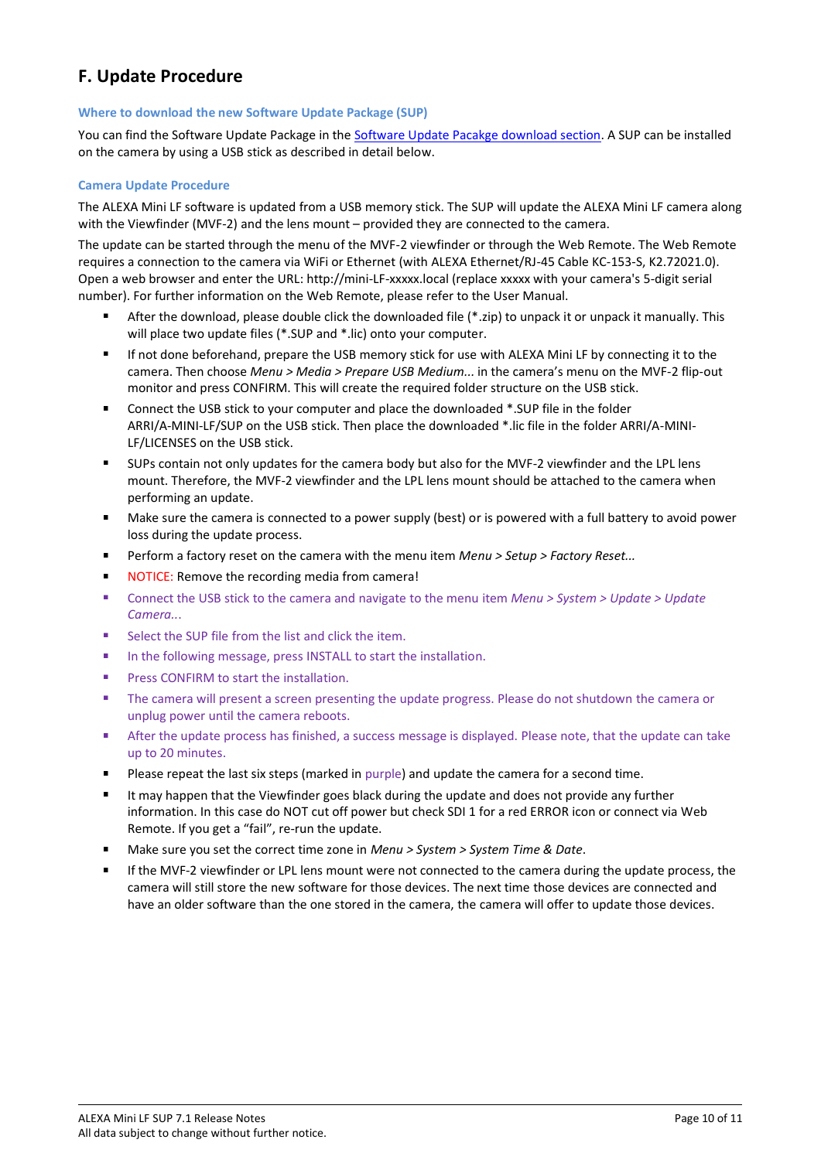### <span id="page-9-0"></span>**F. Update Procedure**

#### <span id="page-9-1"></span>**Where to download the new Software Update Package (SUP)**

You can find the Software Update Package in the [Software Update Pacakge download section.](https://www.arri.com/en/technical-service/firmware/software-and-firmware-updates-for-cameras) A SUP can be installed on the camera by using a USB stick as described in detail below.

#### <span id="page-9-2"></span>**Camera Update Procedure**

The ALEXA Mini LF software is updated from a USB memory stick. The SUP will update the ALEXA Mini LF camera along with the Viewfinder (MVF-2) and the lens mount – provided they are connected to the camera.

The update can be started through the menu of the MVF-2 viewfinder or through the Web Remote. The Web Remote requires a connection to the camera via WiFi or Ethernet (with ALEXA Ethernet/RJ-45 Cable KC-153-S, K2.72021.0). Open a web browser and enter the URL: http://mini-LF-xxxxx.local (replace xxxxx with your camera's 5-digit serial number). For further information on the Web Remote, please refer to the User Manual.

- After the download, please double click the downloaded file (\*.zip) to unpack it or unpack it manually. This will place two update files (\*.SUP and \*.lic) onto your computer.
- $\blacksquare$ If not done beforehand, prepare the USB memory stick for use with ALEXA Mini LF by connecting it to the camera. Then choose *Menu > Media > Prepare USB Medium...* in the camera's menu on the MVF-2 flip-out monitor and press CONFIRM. This will create the required folder structure on the USB stick.
- $\blacksquare$ Connect the USB stick to your computer and place the downloaded \*.SUP file in the folder ARRI/A-MINI-LF/SUP on the USB stick. Then place the downloaded \*.lic file in the folder ARRI/A-MINI-LF/LICENSES on the USB stick.
- $\blacksquare$ SUPs contain not only updates for the camera body but also for the MVF-2 viewfinder and the LPL lens mount. Therefore, the MVF-2 viewfinder and the LPL lens mount should be attached to the camera when performing an update.
- $\blacksquare$ Make sure the camera is connected to a power supply (best) or is powered with a full battery to avoid power loss during the update process.
- п Perform a factory reset on the camera with the menu item *Menu > Setup > Factory Reset...*
- $\blacksquare$ NOTICE: Remove the recording media from camera!
- Connect the USB stick to the camera and navigate to the menu item *Menu > System > Update > Update*  i. *Camera..*.
- Select the SUP file from the list and click the item.
- ń In the following message, press INSTALL to start the installation.
- Press CONFIRM to start the installation.
- The camera will present a screen presenting the update progress. Please do not shutdown the camera or ä, unplug power until the camera reboots.
- ń After the update process has finished, a success message is displayed. Please note, that the update can take up to 20 minutes.
- Please repeat the last six steps (marked in purple) and update the camera for a second time.
- i. It may happen that the Viewfinder goes black during the update and does not provide any further information. In this case do NOT cut off power but check SDI 1 for a red ERROR icon or connect via Web Remote. If you get a "fail", re-run the update.
- Make sure you set the correct time zone in *Menu > System > System Time & Date*.
- ä, If the MVF-2 viewfinder or LPL lens mount were not connected to the camera during the update process, the camera will still store the new software for those devices. The next time those devices are connected and have an older software than the one stored in the camera, the camera will offer to update those devices.